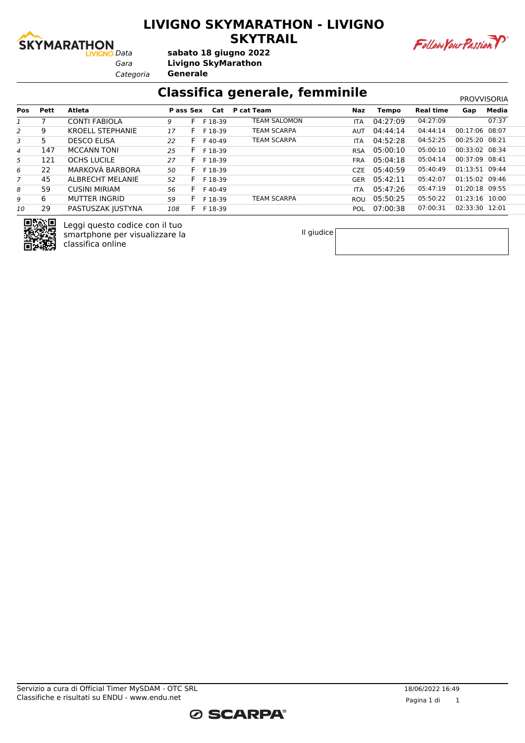

### **LIVIGNO SKYMARATHON - LIVIGNO SKYTRAIL**



*Gara* **Livigno SkyMarathon sabato 18 giugno 2022**

*Categoria* **Generale**

### **Classifica generale, femminile** PROVISORIA

|                |             |                         |           |              |         |                    |            |              |                  |                | <b>FRUVVIJURIA</b> |
|----------------|-------------|-------------------------|-----------|--------------|---------|--------------------|------------|--------------|------------------|----------------|--------------------|
| <b>Pos</b>     | <b>Pett</b> | Atleta                  | P ass Sex |              | Cat     | P cat Team         | Naz        | <b>Tempo</b> | <b>Real time</b> | Gap            | Media              |
|                |             | <b>CONTI FABIOLA</b>    | g         | н.           | F 18-39 | TEAM SALOMON       | <b>ITA</b> | 04:27:09     | 04:27:09         |                | 07:37              |
| 2              | 9           | <b>KROELL STEPHANIE</b> | 17        | F.           | F 18-39 | <b>TEAM SCARPA</b> | <b>AUT</b> | 04:44:14     | 04:44:14         | 00:17:06 08:07 |                    |
| 3              | 5           | <b>DESCO ELISA</b>      | 22        |              | F40-49  | <b>TEAM SCARPA</b> | <b>ITA</b> | 04:52:28     | 04:52:25         | 00:25:20 08:21 |                    |
| $\overline{4}$ | 147         | <b>MCCANN TONI</b>      | 25        | F.           | F 18-39 |                    | <b>RSA</b> | 05:00:10     | 05:00:10         | 00:33:02 08:34 |                    |
| 5              | 121         | <b>OCHS LUCILE</b>      | 27        | ь.           | F 18-39 |                    | <b>FRA</b> | 05:04:18     | 05:04:14         | 00:37:09 08:41 |                    |
| 6              | 22          | MARKOVÁ BARBORA         | 50        | <b>F</b>     | F 18-39 |                    | CZE.       | 05:40:59     | 05:40:49         | 01:13:51 09:44 |                    |
| $\overline{7}$ | 45          | ALBRECHT MELANIE        | 52        | F.           | F 18-39 |                    | <b>GER</b> | 05:42:11     | 05:42:07         | 01:15:02 09:46 |                    |
| 8              | 59          | <b>CUSINI MIRIAM</b>    | 56        | $\mathbf{H}$ | F40-49  |                    | <b>ITA</b> | 05:47:26     | 05:47:19         | 01:20:18 09:55 |                    |
| 9              | 6           | <b>MUTTER INGRID</b>    | 59        | ь.           | F 18-39 | <b>TEAM SCARPA</b> | ROU        | 05:50:25     | 05:50:22         | 01:23:16 10:00 |                    |
| 10             | 29          | PASTUSZAK JUSTYNA       | 108       | <b>E</b>     | F 18-39 |                    | <b>POL</b> | 07:00:38     | 07:00:31         | 02:33:30 12:01 |                    |



Leggi questo codice con il tuo smartphone per visualizzare la classifica online

Il giudice

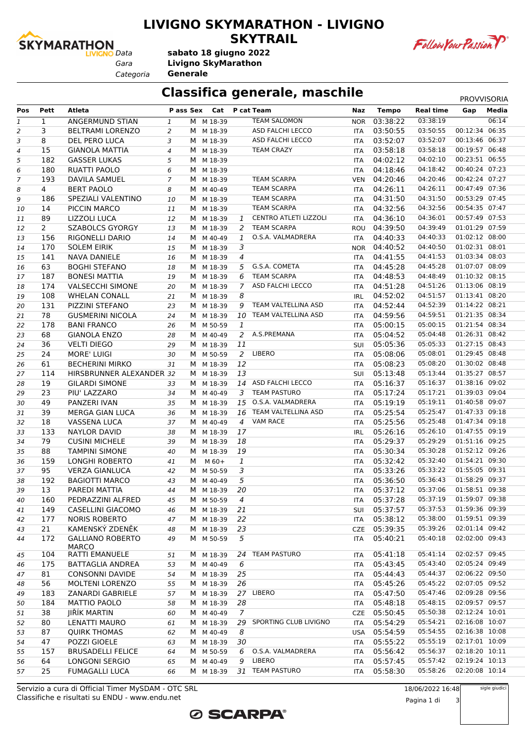

### **LIVIGNO SKYMARATHON - LIVIGNO SKYTRAIL**



*Gara* **Livigno SkyMarathon sabato 18 giugno 2022**

*Categoria* **Generale**

### **Classifica generale, maschile** PROVVISORIA

| Pos            | Pett           | Atleta                   | P ass Sex      |   |           |                | Cat P cat Team               | Naz        | <b>Tempo</b> | <b>Real time</b> | Gap            | Media |
|----------------|----------------|--------------------------|----------------|---|-----------|----------------|------------------------------|------------|--------------|------------------|----------------|-------|
| $\mathbf{1}$   | $\mathbf{1}$   | ANGERMUND STIAN          | 1              |   | M M 18-39 |                | <b>TEAM SALOMON</b>          | <b>NOR</b> | 03:38:22     | 03:38:19         |                | 06:14 |
| 2              | 3              | <b>BELTRAMI LORENZO</b>  | $\overline{2}$ | M | M 18-39   |                | ASD FALCHI LECCO             | <b>ITA</b> | 03:50:55     | 03:50:55         | 00:12:34 06:35 |       |
| 3              | 8              | DEL PERO LUCA            | 3              |   | M M 18-39 |                | ASD FALCHI LECCO             | ITA        | 03:52:07     | 03:52:07         | 00:13:46 06:37 |       |
| 4              | 15             | <b>GIANOLA MATTIA</b>    | $\overline{4}$ |   | M M 18-39 |                | <b>TEAM CRAZY</b>            | <b>ITA</b> | 03:58:18     | 03:58:18         | 00:19:57 06:48 |       |
| 5              | 182            | <b>GASSER LUKAS</b>      | 5              |   | M M 18-39 |                |                              | ITA        | 04:02:12     | 04:02:10         | 00:23:51 06:55 |       |
| 6              | 180            | RUATTI PAOLO             | 6              | м | M 18-39   |                |                              | <b>ITA</b> | 04:18:46     | 04:18:42         | 00:40:24 07:23 |       |
| $\overline{7}$ | 193            | <b>DAVILA SAMUEL</b>     | $\overline{7}$ | M | M 18-39   |                | <b>TEAM SCARPA</b>           | <b>VEN</b> | 04:20:46     | 04:20:46         | 00:42:24 07:27 |       |
| 8              | $\overline{4}$ | <b>BERT PAOLO</b>        | 8              | м | M 40-49   |                | <b>TEAM SCARPA</b>           | <b>ITA</b> | 04:26:11     | 04:26:11         | 00:47:49 07:36 |       |
| 9              | 186            | SPEZIALI VALENTINO       | 10             | M | M 18-39   |                | <b>TEAM SCARPA</b>           | <b>ITA</b> | 04:31:50     | 04:31:50         | 00:53:29 07:45 |       |
| 10             | 14             | PICCIN MARCO             | 11             | M | M 18-39   |                | <b>TEAM SCARPA</b>           | ITA        | 04:32:56     | 04:32:56         | 00:54:35 07:47 |       |
| 11             | 89             | LIZZOLI LUCA             | 12             |   | M M 18-39 | 1              | <b>CENTRO ATLETI LIZZOLI</b> | ITA        | 04:36:10     | 04:36:01         | 00:57:49 07:53 |       |
| 12             | $\overline{2}$ | <b>SZABOLCS GYORGY</b>   | 13             | м | M 18-39   | 2              | <b>TEAM SCARPA</b>           |            | ROU 04:39:50 | 04:39:49         | 01:01:29 07:59 |       |
| 13             | 156            | RIGONELLI DARIO          | 14             | M | M 40-49   | 1              | O.S.A. VALMADRERA            | <b>ITA</b> | 04:40:33     | 04:40:33         | 01:02:12 08:00 |       |
| 14             | 170            | <b>SOLEM EIRIK</b>       | 15             | M | M 18-39   | 3              |                              | <b>NOR</b> | 04:40:52     | 04:40:50         | 01:02:31 08:01 |       |
| 15             | 141            | NAVA DANIELE             | 16             |   | M M 18-39 | 4              |                              | <b>ITA</b> | 04:41:55     | 04:41:53         | 01:03:34 08:03 |       |
| 16             | 63             | <b>BOGHI STEFANO</b>     | 18             |   | M M 18-39 | 5              | G.S.A. COMETA                | ITA        | 04:45:28     | 04:45:28         | 01:07:07 08:09 |       |
|                | 187            | <b>BONESI MATTIA</b>     | 19             |   | M M 18-39 | 6              | <b>TEAM SCARPA</b>           | ITA        | 04:48:53     | 04:48:49         | 01:10:32 08:15 |       |
| 17             | 174            | <b>VALSECCHI SIMONE</b>  |                |   |           | $\overline{7}$ | ASD FALCHI LECCO             |            | 04:51:28     | 04:51:26         | 01:13:06 08:19 |       |
| 18             |                |                          | 20             |   | M M 18-39 |                |                              | <b>ITA</b> |              | 04:51:57         | 01:13:41 08:20 |       |
| 19             | 108            | <b>WHELAN CONALL</b>     | 21             | M | M 18-39   | 8              |                              | IRL        | 04:52:02     |                  |                |       |
| 20             | 131            | PIZZINI STEFANO          | 23             | M | M 18-39   | 9              | TEAM VALTELLINA ASD          | <b>ITA</b> | 04:52:44     | 04:52:39         | 01:14:22 08:21 |       |
| 21             | 78             | <b>GUSMERINI NICOLA</b>  | 24             | M | M 18-39   | 10             | TEAM VALTELLINA ASD          | <b>ITA</b> | 04:59:56     | 04:59:51         | 01:21:35 08:34 |       |
| 22             | 178            | <b>BANI FRANCO</b>       | 26             |   | M M 50-59 | 1              |                              | ITA        | 05:00:15     | 05:00:15         | 01:21:54 08:34 |       |
| 23             | 68             | <b>GIANOLA ENZO</b>      | 28             |   | M M 40-49 | 2              | A.S.PREMANA                  | ITA        | 05:04:52     | 05:04:48         | 01:26:31 08:42 |       |
| 24             | 36             | <b>VELTI DIEGO</b>       | 29             |   | M M 18-39 | 11             |                              | SUI        | 05:05:36     | 05:05:33         | 01:27:15 08:43 |       |
| 25             | 24             | <b>MORE' LUIGI</b>       | 30             |   | M M 50-59 | $\overline{2}$ | LIBERO                       | <b>ITA</b> | 05:08:06     | 05:08:01         | 01:29:45 08:48 |       |
| 26             | 61             | <b>BECHERINI MIRKO</b>   | 31             | M | M 18-39   | 12             |                              | <b>ITA</b> | 05:08:23     | 05:08:20         | 01:30:02 08:48 |       |
| 27             | 114            | HIRSBRUNNER ALEXANDER 32 |                |   | M M 18-39 | 13             |                              | SUI        | 05:13:48     | 05:13:44         | 01:35:27 08:57 |       |
| 28             | 19             | <b>GILARDI SIMONE</b>    | 33             |   | M M 18-39 |                | 14 ASD FALCHI LECCO          | ITA        | 05:16:37     | 05:16:37         | 01:38:16 09:02 |       |
| 29             | 23             | PIU' LAZZARO             | 34             |   | M M 40-49 | 3              | <b>TEAM PASTURO</b>          | ITA        | 05:17:24     | 05:17:21         | 01:39:03 09:04 |       |
| 30             | 49             | PANZERI IVAN             | 35             |   | M M 18-39 | 15             | O.S.A. VALMADRERA            | ITA        | 05:19:19     | 05:19:11         | 01:40:58 09:07 |       |
| 31             | 39             | MERGA GIAN LUCA          | 36             | M | M 18-39   | 16             | TEAM VALTELLINA ASD          | <b>ITA</b> | 05:25:54     | 05:25:47         | 01:47:33 09:18 |       |
| 32             | 18             | <b>VASSENA LUCA</b>      | 37             | M | M 40-49   | $\overline{4}$ | <b>VAM RACE</b>              | ITA        | 05:25:56     | 05:25:48         | 01:47:34 09:18 |       |
| 33             | 133            | <b>NAYLOR DAVID</b>      | 38             |   | M M 18-39 | 17             |                              | <b>IRL</b> | 05:26:16     | 05:26:10         | 01:47:55 09:19 |       |
| 34             | 79             | <b>CUSINI MICHELE</b>    | 39             |   | M M 18-39 | 18             |                              | <b>ITA</b> | 05:29:37     | 05:29:29         | 01:51:16 09:25 |       |
| 35             | 88             | <b>TAMPINI SIMONE</b>    | 40             | M | M 18-39   | 19             |                              | ITA        | 05:30:34     | 05:30:28         | 01:52:12 09:26 |       |
| 36             | 159            | LONGHI ROBERTO           | 41             | м | $M$ 60+   | $\mathbf{1}$   |                              | <b>ITA</b> | 05:32:42     | 05:32:40         | 01:54:21 09:30 |       |
| 37             | 95             | <b>VERZA GIANLUCA</b>    | 42             | M | M 50-59   | 3              |                              | <b>ITA</b> | 05:33:26     | 05:33:22         | 01:55:05 09:31 |       |
| 38             | 192            | <b>BAGIOTTI MARCO</b>    | 43             | M | M 40-49   | 5              |                              | <b>ITA</b> | 05:36:50     | 05:36:43         | 01:58:29 09:37 |       |
| 39             | 13             | PAREDI MATTIA            | 44             |   | M M 18-39 | 20             |                              | ITA        | 05:37:12     | 05:37:06         | 01:58:51 09:38 |       |
| 40             | 160            | PEDRAZZINI ALFRED        | 45             |   | M M 50-59 | 4              |                              | ITA        | 05:37:28     | 05:37:19         | 01:59:07 09:38 |       |
| 41             | 149            | CASELLINI GIACOMO        | 46             |   | M M 18-39 | 21             |                              | <b>SUI</b> | 05:37:57     | 05:37:53         | 01:59:36 09:39 |       |
| 42             | 177            | <b>NORIS ROBERTO</b>     | 47             |   | M M 18-39 | 22             |                              | ITA        | 05:38:12     | 05:38:00         | 01:59:51 09:39 |       |
| 43             | 21             | KAMENSKÝ ZDENĚK          | 48             |   | M M 18-39 | 23             |                              |            | CZE 05:39:35 | 05:39:26         | 02:01:14 09:42 |       |
| 44             | 172            | <b>GALLIANO ROBERTO</b>  | 49             |   | M M 50-59 | 5              |                              | ITA        | 05:40:21     | 05:40:18         | 02:02:00 09:43 |       |
|                |                | <b>MARCO</b>             |                |   |           |                |                              |            |              |                  |                |       |
| 45             | 104            | <b>RATTI EMANUELE</b>    | 51             | M | M 18-39   | 24             | <b>TEAM PASTURO</b>          | ITA        | 05:41:18     | 05:41:14         | 02:02:57 09:45 |       |
| 46             | 175            | <b>BATTAGLIA ANDREA</b>  | 53             |   | M M 40-49 | 6              |                              | <b>ITA</b> | 05:43:45     | 05:43:40         | 02:05:24 09:49 |       |
| 47             | 81             | <b>CONSONNI DAVIDE</b>   | 54             |   | M M 18-39 | 25             |                              | <b>ITA</b> | 05:44:43     | 05:44:37         | 02:06:22 09:50 |       |
| 48             | 56             | <b>MOLTENI LORENZO</b>   | 55             |   | M M 18-39 | 26             |                              | <b>ITA</b> | 05:45:26     | 05:45:22         | 02:07:05 09:52 |       |
| 49             | 183            | ZANARDI GABRIELE         | 57             |   | M M 18-39 |                | 27 LIBERO                    | ITA        | 05:47:50     | 05:47:46         | 02:09:28 09:56 |       |
| 50             | 184            | <b>MATTIO PAOLO</b>      | 58             | M | M 18-39   | 28             |                              | ITA        | 05:48:18     | 05:48:15         | 02:09:57 09:57 |       |
| 51             | 38             | JIŘÍK MARTIN             | 60             | M | M 40-49   | $\overline{7}$ |                              | CZE        | 05:50:45     | 05:50:38         | 02:12:24 10:01 |       |
| 52             | 80             | LENATTI MAURO            | 61             |   | M M 18-39 | 29             | SPORTING CLUB LIVIGNO        | ITA        | 05:54:29     | 05:54:21         | 02:16:08 10:07 |       |
|                | 87             | <b>QUIRK THOMAS</b>      | 62             |   | M M 40-49 | 8              |                              |            | USA 05:54:59 | 05:54:55         | 02:16:38 10:08 |       |
| 53             | 47             | POZZI GIOELE             |                |   | M M 18-39 | 30             |                              |            | 05:55:22     | 05:55:19         | 02:17:01 10:09 |       |
| 54             | 157            | <b>BRUSADELLI FELICE</b> | 63             |   |           | 6              | O.S.A. VALMADRERA            | <b>ITA</b> | 05:56:42     | 05:56:37         | 02:18:20 10:11 |       |
| 55             |                |                          | 64             |   | M M 50-59 |                | LIBERO                       | ITA        |              |                  | 02:19:24 10:13 |       |
| 56             | 64             | <b>LONGONI SERGIO</b>    | 65             |   | M M 40-49 | 9              |                              | ITA.       | 05:57:45     | 05:57:42         |                |       |
| 57             | 25             | <b>FUMAGALLI LUCA</b>    | 66             |   | M M 18-39 | 31             | <b>TEAM PASTURO</b>          | ITA        | 05:58:30     | 05:58:26         | 02:20:08 10:14 |       |

**ØSCARPA®** 

Classifiche e risultati su ENDU - www.endu.net Servizio a cura di Official Timer MySDAM - OTC SRL 18/06/2022 16:48

Pagina 1 di 3

sigle giudici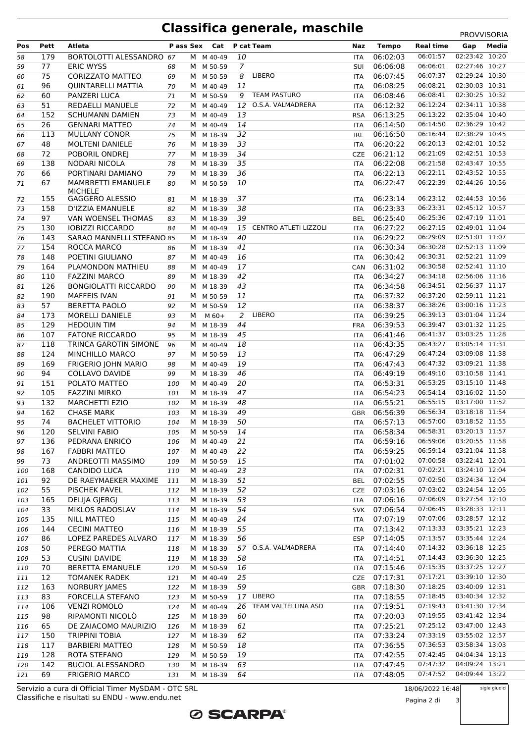## **Classifica generale, maschile** PROVISORIA

|     |      |                                       |     |   |                         |                |                              |            |              |                                          | <b>FRUVVIJUNIA</b>               |       |
|-----|------|---------------------------------------|-----|---|-------------------------|----------------|------------------------------|------------|--------------|------------------------------------------|----------------------------------|-------|
| Pos | Pett | Atleta                                |     |   | Pass Sex Cat P cat Team |                |                              | Naz        | Tempo        | <b>Real time</b>                         | Gap                              | Media |
| 58  | 179  | BORTOLOTTI ALESSANDRO 67              |     |   | M M 40-49               | 10             |                              | <b>ITA</b> | 06:02:03     | 06:01:57                                 | 02:23:42 10:20                   |       |
| 59  | 77   | <b>ERIC WYSS</b>                      | 68  |   | M M 50-59               | $\overline{7}$ |                              | SUI        | 06:06:08     | 06:06:01                                 | 02:27:46 10:27                   |       |
| 60  | 75   | <b>CORIZZATO MATTEO</b>               | 69  |   | M M 50-59               | 8              | LIBERO                       | <b>ITA</b> | 06:07:45     | 06:07:37                                 | 02:29:24 10:30                   |       |
| 61  | 96   | <b>QUINTARELLI MATTIA</b>             | 70  |   | M M 40-49               | 11             |                              | <b>ITA</b> | 06:08:25     | 06:08:21                                 | 02:30:03 10:31                   |       |
| 62  | 60   | PANZERI LUCA                          | 71  |   | M M 50-59               | 9              | <b>TEAM PASTURO</b>          | <b>ITA</b> | 06:08:46     | 06:08:41                                 | 02:30:25 10:32                   |       |
| 63  | 51   | REDAELLI MANUELE                      | 72  |   | M M 40-49               | 12             | O.S.A. VALMADRERA            | <b>ITA</b> | 06:12:32     | 06:12:24                                 | 02:34:11 10:38                   |       |
| 64  | 152  | <b>SCHUMANN DAMIEN</b>                | 73  |   | M M 40-49               | 13             |                              | <b>RSA</b> | 06:13:25     | 06:13:22                                 | 02:35:04 10:40                   |       |
| 65  | 26   | <b>GENNARI MATTEO</b>                 | 74  |   | M M 40-49               | 14             |                              | <b>ITA</b> | 06:14:50     | 06:14:50                                 | 02:36:29 10:42                   |       |
| 66  | 113  | <b>MULLANY CONOR</b>                  | 75  |   | M M 18-39               | 32             |                              | IRL        | 06:16:50     | 06:16:44                                 | 02:38:29 10:45                   |       |
| 67  | 48   | MOLTENI DANIELE                       | 76  |   | M M 18-39               | 33             |                              | ITA        | 06:20:22     | 06:20:13                                 | 02:42:01 10:52                   |       |
| 68  | 72   | POBORIL ONDREJ                        | 77  |   | M M 18-39               | 34             |                              | <b>CZE</b> | 06:21:12     | 06:21:09                                 | 02:42:51 10:53                   |       |
| 69  | 138  | NODARI NICOLA                         | 78  |   | M M 18-39               | 35             |                              | ITA        | 06:22:08     | 06:21:58                                 | 02:43:47 10:55                   |       |
| 70  | 66   | PORTINARI DAMIANO                     | 79  |   | M M 18-39               | 36             |                              | ITA        | 06:22:13     | 06:22:11                                 | 02:43:52 10:55                   |       |
| 71  | 67   | MAMBRETTI EMANUELE                    | 80  |   | M M 50-59               | 10             |                              | ITA        | 06:22:47     | 06:22:39                                 | 02:44:26 10:56                   |       |
|     |      | <b>MICHELE</b>                        |     |   |                         |                |                              |            |              |                                          |                                  |       |
| 72  | 155  | GAGGERO ALESSIO                       | 81  |   | M M 18-39               | 37             |                              | <b>ITA</b> | 06:23:14     | 06:23:12                                 | 02:44:53 10:56                   |       |
| 73  | 158  | D'IZZIA EMANUELE                      | 82  |   | M M 18-39               | 38             |                              | <b>ITA</b> | 06:23:33     | 06:23:31                                 | 02:45:12 10:57                   |       |
| 74  | 97   | VAN WOENSEL THOMAS                    | 83  |   | M M 18-39               | 39             |                              | <b>BEL</b> | 06:25:40     | 06:25:36                                 | 02:47:19 11:01                   |       |
| 75  | 130  | <b>IOBIZZI RICCARDO</b>               | 84  |   | M M 40-49               | 15             | <b>CENTRO ATLETI LIZZOLI</b> | <b>ITA</b> | 06:27:22     | 06:27:15                                 | 02:49:01 11:04                   |       |
| 76  | 143  | SARAO MANNELLI STEFANO 85             |     |   | M M 18-39               | 40             |                              | ITA        | 06:29:22     | 06:29:09                                 | 02:51:01 11:07                   |       |
| 77  | 154  | ROCCA MARCO                           | 86  |   | M M 18-39               | 41             |                              | ITA        | 06:30:34     | 06:30:28                                 | 02:52:13 11:09                   |       |
| 78  | 148  | POETINI GIULIANO                      | 87  |   | M M 40-49               | 16             |                              | <b>ITA</b> | 06:30:42     | 06:30:31                                 | 02:52:21 11:09                   |       |
| 79  | 164  | PLAMONDON MATHIEU                     | 88  |   | M M 40-49               | 17             |                              | CAN        | 06:31:02     | 06:30:58                                 | 02:52:41 11:10                   |       |
| 80  | 110  | <b>FAZZINI MARCO</b>                  | 89  |   | M M 18-39               | 42             |                              | ITA        | 06:34:27     | 06:34:18                                 | 02:56:06 11:16                   |       |
| 81  | 126  | <b>BONGIOLATTI RICCARDO</b>           | 90  |   | M M 18-39               | 43             |                              | <b>ITA</b> | 06:34:58     | 06:34:51                                 | 02:56:37 11:17                   |       |
| 82  | 190  | <b>MAFFEIS IVAN</b>                   | 91  |   | M M 50-59               | 11             |                              | ITA        | 06:37:32     | 06:37:20                                 | 02:59:11 11:21                   |       |
| 83  | 57   | <b>BERETTA PAOLO</b>                  | 92  |   | M M 50-59               | 12             |                              | ITA        | 06:38:37     | 06:38:26                                 | 03:00:16 11:23                   |       |
| 84  | 173  | MORELLI DANIELE                       | 93  | M | $M$ 60+                 | $\overline{2}$ | LIBERO                       | <b>ITA</b> | 06:39:25     | 06:39:13                                 | 03:01:04 11:24                   |       |
| 85  | 129  | <b>HEDOUIN TIM</b>                    | 94  |   | M M 18-39               | 44             |                              | <b>FRA</b> | 06:39:53     | 06:39:47                                 | 03:01:32 11:25                   |       |
| 86  | 107  | <b>FATONE RICCARDO</b>                | 95  | м | M 18-39                 | 45             |                              | ITA        | 06:41:46     | 06:41:37                                 | 03:03:25 11:28                   |       |
| 87  | 118  | TRINCA GAROTIN SIMONE                 | 96  |   | M M 40-49               | 18             |                              | <b>ITA</b> | 06:43:35     | 06:43:27                                 | 03:05:14 11:31                   |       |
| 88  | 124  | MINCHILLO MARCO                       | 97  |   | M M 50-59               | 13             |                              | ITA        | 06:47:29     | 06:47:24                                 | 03:09:08 11:38                   |       |
| 89  | 169  | FRIGERIO JOHN MARIO                   | 98  |   | M M 40-49               | 19             |                              | ITA        | 06:47:43     | 06:47:32                                 | 03:09:21 11:38                   |       |
| 90  | 94   | COLLAVO DAVIDE                        | 99  |   | M M 18-39               | 46             |                              | <b>ITA</b> | 06:49:19     | 06:49:10                                 | 03:10:58 11:41                   |       |
| 91  | 151  | POLATO MATTEO                         | 100 |   | M M 40-49               | 20             |                              | ITA        | 06:53:31     | 06:53:25                                 | 03:15:10 11:48                   |       |
| 92  | 105  | <b>FAZZINI MIRKO</b>                  | 101 |   | M M 18-39               | 47             |                              | ITA        | 06:54:23     | 06:54:14                                 | 03:16:02 11:50                   |       |
| 93  | 132  | <b>MARCHETTI EZIO</b>                 | 102 |   | M M 18-39               | 48             |                              | ITA        | 06:55:21     | 06:55:15                                 | 03:17:00 11:52                   |       |
| 94  | 162  | <b>CHASE MARK</b>                     | 103 |   | M M 18-39               | 49             |                              | GBR        | 06:56:39     | 06:56:34                                 | 03:18:18 11:54                   |       |
| 95  | 74   | <b>BACHELET VITTORIO</b>              | 104 |   | M M 18-39               | 50             |                              | <b>ITA</b> | 06:57:13     | 06:57:00                                 | 03:18:52 11:55                   |       |
| 96  |      | 120 SELVINI FABIO<br>105 M M 50-59 14 |     |   |                         |                |                              |            |              | ITA  06:58:34  06:58:31  03:20:13  11:57 |                                  |       |
| 97  | 136  | PEDRANA ENRICO                        | 106 |   | M M 40-49               | 21             |                              | ITA        | 06:59:16     | 06:59:06                                 | 03:20:55 11:58                   |       |
| 98  | 167  | <b>FABBRI MATTEO</b>                  | 107 |   | M M 40-49               | 22             |                              | ITA        | 06:59:25     | 06:59:14                                 | 03:21:04 11:58                   |       |
| 99  | 73   | ANDREOTTI MASSIMO                     | 109 |   | M M 50-59               | 15             |                              | ITA        | 07:01:02     | 07:00:58                                 | 03:22:41 12:01                   |       |
| 100 | 168  | CANDIDO LUCA                          | 110 |   | M M 40-49               | 23             |                              | ITA        | 07:02:31     | 07:02:21                                 | 03:24:10 12:04                   |       |
| 101 | 92   | DE RAEYMAEKER MAXIME                  | 111 |   | M M 18-39               | 51             |                              | <b>BEL</b> | 07:02:55     | 07:02:50                                 | 03:24:34 12:04                   |       |
| 102 | 55   | <b>PISCHEK PAVEL</b>                  | 112 |   | M M 18-39               | 52             |                              |            | CZE 07:03:16 | 07:03:02                                 | 03:24:54 12:05                   |       |
| 103 | 165  | DELIJA GJERGJ                         | 113 |   | M M 18-39               | 53             |                              | ITA        | 07:06:16     | 07:06:09                                 | 03:27:54 12:10                   |       |
| 104 | 33   | MIKLOS RADOSLAV                       | 114 |   | M M 18-39               | 54             |                              | <b>SVK</b> | 07:06:54     | 07:06:45                                 | 03:28:33 12:11                   |       |
| 105 | 135  | NILL MATTEO                           | 115 |   | M M 40-49               | 24             |                              | ITA        | 07:07:19     | 07:07:06                                 | 03:28:57 12:12                   |       |
| 106 | 144  | <b>CECINI MATTEO</b>                  | 116 |   | M M 18-39               | 55             |                              | ITA        | 07:13:42     | 07:13:33                                 | 03:35:21 12:23                   |       |
| 107 | 86   | LOPEZ PAREDES ALVARO                  | 117 |   | M M 18-39               | 56             |                              | ESP        | 07:14:05     | 07:13:57                                 | 03:35:44 12:24                   |       |
| 108 | 50   | PEREGO MATTIA                         | 118 |   | M M 18-39               |                | 57 O.S.A. VALMADRERA         | ITA        | 07:14:40     | 07:14:32                                 | 03:36:18 12:25                   |       |
| 109 | 53   | <b>CUSINI DAVIDE</b>                  | 119 |   | M M 18-39               | 58             |                              | ITA        | 07:14:51     | 07:14:43                                 | 03:36:30 12:25                   |       |
| 110 | 70   | <b>BERETTA EMANUELE</b>               | 120 |   | M M 50-59               | 16             |                              | ITA        | 07:15:46     | 07:15:35                                 | 03:37:25 12:27                   |       |
| 111 | 12   | <b>TOMANEK RADEK</b>                  | 121 |   | M M 40-49               | 25             |                              |            | CZE 07:17:31 | 07:17:21                                 | 03:39:10 12:30                   |       |
| 112 | 163  | <b>NORBURY JAMES</b>                  | 122 |   | M M 18-39               | 59             |                              |            | GBR 07:18:30 | 07:18:25                                 | 03:40:09 12:31                   |       |
| 113 | 83   | FORCELLA STEFANO                      | 123 |   | M M 50-59               |                | 17 LIBERO                    | ITA        | 07:18:55     | 07:18:45                                 | 03:40:34 12:32                   |       |
| 114 | 106  | <b>VENZI ROMOLO</b>                   | 124 |   | M M 40-49               | 26             | TEAM VALTELLINA ASD          | ITA        | 07:19:51     | 07:19:43                                 | 03:41:30 12:34                   |       |
| 115 | 98   | RIPAMONTI NICOLÒ                      | 125 |   | M M 18-39               | 60             |                              | ITA        | 07:20:03     | 07:19:55                                 | 03:41:42 12:34                   |       |
| 116 | 65   | DE ZAIACOMO MAURIZIO                  | 126 |   | M M 18-39               | 61             |                              | ITA        | 07:25:21     | 07:25:12                                 | 03:47:00 12:43                   |       |
| 117 | 150  | <b>TRIPPINI TOBIA</b>                 | 127 |   | M M 18-39               | 62             |                              | ITA        | 07:33:24     | 07:33:19                                 | 03:55:02 12:57                   |       |
| 118 | 117  | <b>BARBIERI MATTEO</b>                | 128 |   | M M 50-59               | 18             |                              | ITA        | 07:36:55     | 07:36:53                                 | 03:58:34 13:03<br>04:04:34 13:13 |       |
| 119 | 128  | ROTA STEFANO                          | 129 |   | M M 50-59               | 19             |                              | ITA        | 07:42:55     | 07:42:45                                 | 04:09:24 13:21                   |       |
| 120 | 142  | <b>BUCIOL ALESSANDRO</b>              | 130 |   | M M 18-39               | 63             |                              | ITA        | 07:47:45     | 07:47:32                                 |                                  |       |
| 121 | 69   | <b>FRIGERIO MARCO</b>                 | 131 |   | M M 18-39               | 64             |                              | ITA        | 07:48:05     | 07:47:52                                 | 04:09:44 13:22                   |       |

**ØSCARPA®** 

Classifiche e risultati su ENDU - www.endu.net Servizio a cura di Official Timer MySDAM - OTC SRL 18/06/2022 16:48

sigle giudici

Pagina 2 di 3